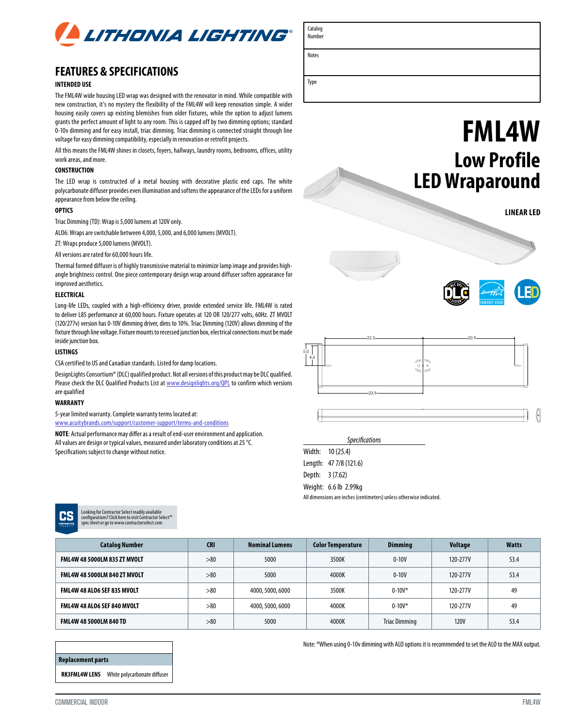

### **FEATURES & SPECIFICATIONS**

#### **INTENDED USE**

The FML4W wide housing LED wrap was designed with the renovator in mind. While compatible with new construction, it's no mystery the flexibility of the FML4W will keep renovation simple. A wider housing easily covers up existing blemishes from older fixtures, while the option to adjust lumens grants the perfect amount of light to any room. This is capped off by two dimming options; standard 0-10v dimming and for easy install, triac dimming. Triac dimming is connected straight through line voltage for easy dimming compatibility, especially in renovation or retrofit projects.

All this means the FML4W shines in closets, foyers, hallways, laundry rooms, bedrooms, offices, utility work areas, and more.

#### **CONSTRUCTION**

The LED wrap is constructed of a metal housing with decorative plastic end caps. The white polycarbonate diffuser provides even illumination and softens the appearance of the LEDs for a uniform appearance from below the ceiling.

#### **OPTICS**

Triac Dimming (TD): Wrap is 5,000 lumens at 120V only.

ALO6: Wraps are switchable between 4,000, 5,000, and 6,000 lumens (MVOLT).

ZT: Wraps produce 5,000 lumens (MVOLT).

All versions are rated for 60,000 hours life.

Thermal formed diffuser is of highly transmissive material to minimize lamp image and provides highangle brightness control. One piece contemporary design wrap around diffuser soften appearance for improved aesthetics.

#### **ELECTRICAL**

Long-life LEDs, coupled with a high-efficiency driver, provide extended service life. FML4W is rated to deliver L85 performance at 60,000 hours. Fixture operates at 120 OR 120/277 volts, 60Hz. ZT MVOLT (120/277v) version has 0-10V dimming driver, dims to 10%. Triac Dimming (120V) allows dimming of the fixture through line voltage. Fixture mounts to recessed junction box, electrical connections must be made inside junction box.

#### **LISTINGS**

CSA certified to US and Canadian standards. Listed for damp locations.

DesignLights Consortium® (DLC) qualified product. Not all versions of this product may be DLC qualified. Please check the DLC Qualified Products List at [www.designlights.org/QPL](http://www.designlights.org/QPL) to confirm which versions are qualified

#### **WARRANTY**

5-year limited warranty. Complete warranty terms located at:

Looking for Contractor Select readily available<br>configurations? Click here to visit Contractor So configurations? Click here to visit Contractor Select™ spec sheet or go to www.contractorselect.com

[www.acuitybrands.com/support/customer-support/terms-and-conditions](http://www.acuitybrands.com/support/customer-support/terms-and-conditions)

**NOTE**: Actual performance may differ as a result of end-user environment and application. All values are design or typical values, measured under laboratory conditions at 25 °C. Specifications subject to change without notice.

Notes Type

Catalog Number

# **FML4W Low Profile LED Wraparound**

**LINEAR LED**



*Specifications* Width: 10 (25.4) Length: 47 7/8 (121.6) Depth: 3 (7.62) Weight: 6.6 lb 2.99kg All dimensions are inches (centimeters) unless otherwise indicated.

| <b>Catalog Number</b>               | <b>CRI</b> | <b>Nominal Lumens</b> | <b>Color Temperature</b> | <b>Dimming</b>       | Voltage     | <b>Watts</b> |
|-------------------------------------|------------|-----------------------|--------------------------|----------------------|-------------|--------------|
| <b>FML4W 48 5000LM 835 ZT MVOLT</b> | >80        | 5000                  | 3500K                    | $0 - 10V$            | 120-277V    | 53.4         |
| <b>FML4W 48 5000LM 840 ZT MVOLT</b> | >80        | 5000                  | 4000K                    | $0 - 10V$            | 120-277V    | 53.4         |
| FML4W 48 ALO6 SEF 835 MVOLT         | > 80       | 4000, 5000, 6000      | 3500K                    | $0 - 10V^*$          | 120-277V    | 49           |
| FML4W 48 ALO6 SEF 840 MVOLT         | > 80       | 4000, 5000, 6000      | 4000K                    | $0 - 10V^*$          | 120-277V    | 49           |
| <b>FML4W 48 5000LM 840 TD</b>       | > 80       | 5000                  | 4000K                    | <b>Triac Dimming</b> | <b>120V</b> | 53.4         |

## **Replacement parts RK3FML4W LENS** White polycarbonate diffuser

Note: \*When using 0-10v dimming with ALO options it is recommended to set the ALO to the MAX output.